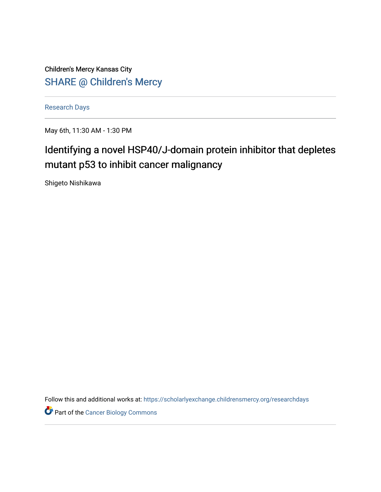Children's Mercy Kansas City SHARE @ Children's Mercy

[Research Days](https://scholarlyexchange.childrensmercy.org/researchdays)

May 6th, 11:30 AM - 1:30 PM

# Identifying a novel HSP40/J-domain protein inhibitor that depletes mutant p53 to inhibit cancer malignancy

Shigeto Nishikawa

Follow this and additional works at: [https://scholarlyexchange.childrensmercy.org/researchdays](https://scholarlyexchange.childrensmercy.org/researchdays?utm_source=scholarlyexchange.childrensmercy.org%2Fresearchdays%2FGME_Research_Days_2021%2Fresearchday1%2F1&utm_medium=PDF&utm_campaign=PDFCoverPages) 

**Part of the Cancer Biology Commons**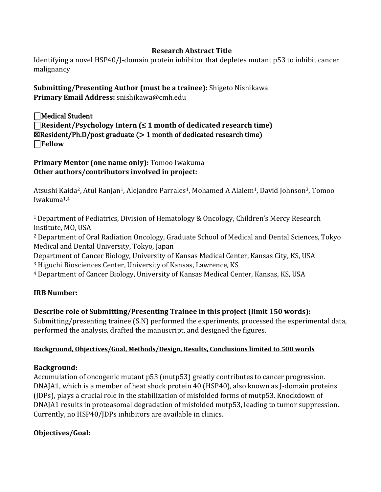### **Research Abstract Title**

Identifying a novel HSP40/J-domain protein inhibitor that depletes mutant p53 to inhibit cancer malignancy

**Submitting/Presenting Author (must be a trainee):** Shigeto Nishikawa **Primary Email Address:** snishikawa@cmh.edu

 $\Box$ Medical Student ⎕**Resident/Psychology Intern (≤ 1 month of dedicated research time)**   $\boxtimes$ Resident/Ph.D/post graduate ( $> 1$  month of dedicated research time) ⎕**Fellow** 

**Primary Mentor (one name only):** Tomoo Iwakuma **Other authors/contributors involved in project:**

Atsushi Kaida<sup>2</sup>, Atul Ranjan<sup>1</sup>, Alejandro Parrales<sup>1</sup>, Mohamed A Alalem<sup>1</sup>, David Johnson<sup>3</sup>, Tomoo Iwakuma1,4

<sup>1</sup>Department of Pediatrics, Division of Hematology & Oncology, Children's Mercy Research Institute, MO, USA

<sup>2</sup> Department of Oral Radiation Oncology, Graduate School of Medical and Dental Sciences, Tokyo Medical and Dental University, Tokyo, Japan

Department of Cancer Biology, University of Kansas Medical Center, Kansas City, KS, USA <sup>3</sup> Higuchi Biosciences Center, University of Kansas, Lawrence, KS

<sup>4</sup> Department of Cancer Biology, University of Kansas Medical Center, Kansas, KS, USA

#### **IRB Number:**

## **Describe role of Submitting/Presenting Trainee in this project (limit 150 words):**

Submitting/presenting trainee (S.N) performed the experiments, processed the experimental data, performed the analysis, drafted the manuscript, and designed the figures.

#### **Background, Objectives/Goal, Methods/Design, Results, Conclusions limited to 500 words**

#### **Background:**

Accumulation of oncogenic mutant p53 (mutp53) greatly contributes to cancer progression. DNAJA1, which is a member of heat shock protein 40 (HSP40), also known as J-domain proteins (JDPs), plays a crucial role in the stabilization of misfolded forms of mutp53. Knockdown of DNAJA1 results in proteasomal degradation of misfolded mutp53, leading to tumor suppression. Currently, no HSP40/JDPs inhibitors are available in clinics.

## **Objectives/Goal:**